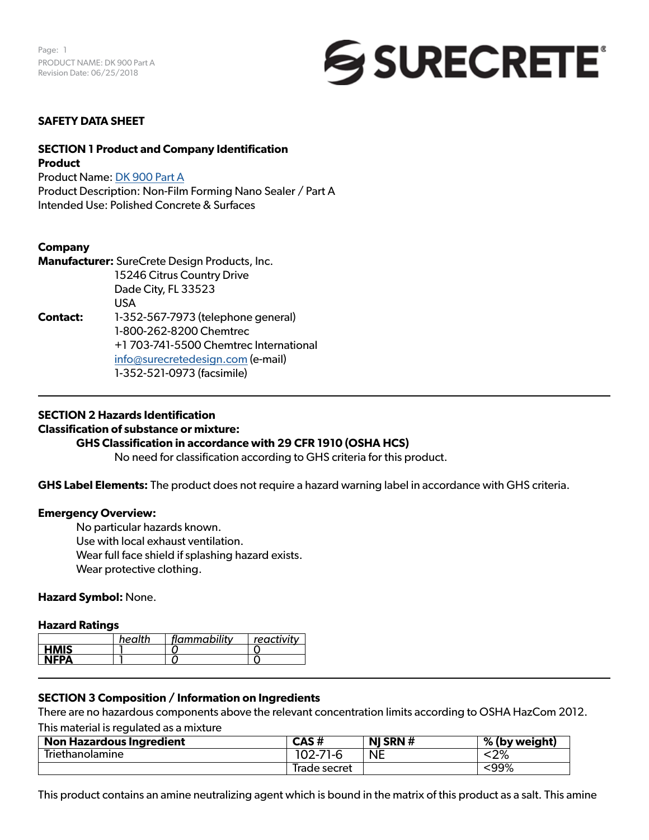

#### **SAFETY DATA SHEET**

#### **SECTION 1 Product and Company Identification Product**

Product Name: DK 900 Part A Product Description: Non-Film Forming Nano Sealer / Part A Intended Use: Polished Concrete & Surfaces

#### **Company**

**Manufacturer:** SureCrete Design Products, Inc. 15246 Citrus Country Drive Dade City, FL 33523 USA **Contact:** 1-352-567-7973 (telephone general) 1-800-262-8200 Chemtrec +1 703-741-5500 Chemtrec International [info@surecretedesign.com](mailto:info%40surecretedesign.com?subject=DK%20900%20-%20SDS%20Inquiry) (e-mail) 1-352-521-0973 (facsimile)

#### **SECTION 2 Hazards Identification**

#### **Classification of substance or mixture:**

#### **GHS Classification in accordance with 29 CFR 1910 (OSHA HCS)**

No need for classification according to GHS criteria for this product.

**GHS Label Elements:** The product does not require a hazard warning label in accordance with GHS criteria.

#### **Emergency Overview:**

No particular hazards known. Use with local exhaust ventilation. Wear full face shield if splashing hazard exists. Wear protective clothing.

#### **Hazard Symbol:** None.

#### **Hazard Ratings**

|             | health | flammability | reactivity |
|-------------|--------|--------------|------------|
| <b>HMIS</b> |        |              |            |
| <b>NFPA</b> |        |              |            |
|             |        |              |            |

#### **SECTION 3 Composition / Information on Ingredients**

There are no hazardous components above the relevant concentration limits according to OSHA HazCom 2012.

This material is regulated as a mixture

| Non Hazardous Ingredient | CAS #        | NJ SRN $#$ | % (by weight) |
|--------------------------|--------------|------------|---------------|
| Triethanolamine          | 102-71-6     | <b>NE</b>  | ∕סרי<br>N∠7ο  |
|                          | Irade secret |            | :99%          |

This product contains an amine neutralizing agent which is bound in the matrix of this product as a salt. This amine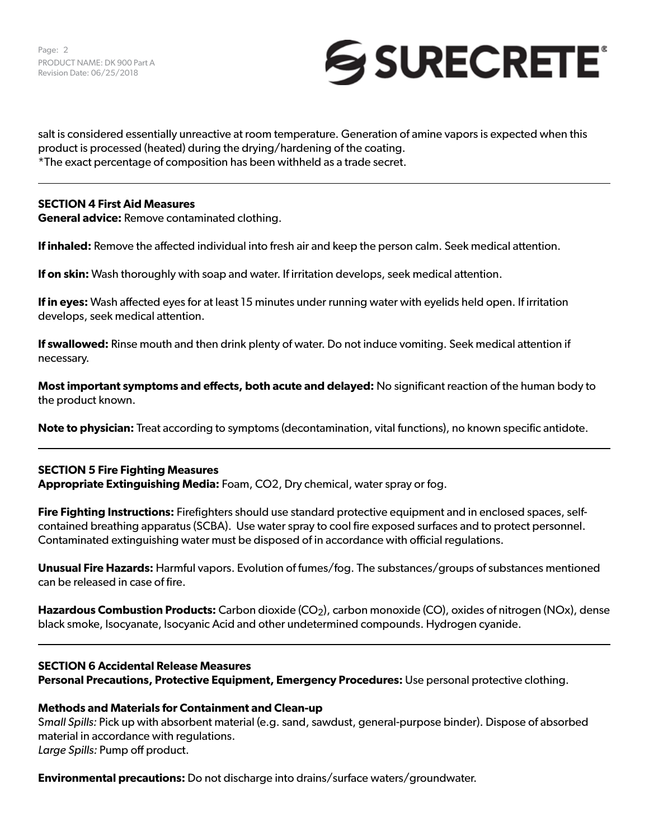

salt is considered essentially unreactive at room temperature. Generation of amine vapors is expected when this product is processed (heated) during the drying/hardening of the coating. \*The exact percentage of composition has been withheld as a trade secret.

#### **SECTION 4 First Aid Measures**

**General advice:** Remove contaminated clothing.

**If inhaled:** Remove the affected individual into fresh air and keep the person calm. Seek medical attention.

**If on skin:** Wash thoroughly with soap and water. If irritation develops, seek medical attention.

**If in eyes:** Wash affected eyes for at least 15 minutes under running water with eyelids held open. If irritation develops, seek medical attention.

**If swallowed:** Rinse mouth and then drink plenty of water. Do not induce vomiting. Seek medical attention if necessary.

**Most important symptoms and effects, both acute and delayed:** No significant reaction of the human body to the product known.

**Note to physician:** Treat according to symptoms (decontamination, vital functions), no known specific antidote.

#### **SECTION 5 Fire Fighting Measures Appropriate Extinguishing Media:** Foam, CO2, Dry chemical, water spray or fog.

**Fire Fighting Instructions:** Firefighters should use standard protective equipment and in enclosed spaces, selfcontained breathing apparatus (SCBA). Use water spray to cool fire exposed surfaces and to protect personnel. Contaminated extinguishing water must be disposed of in accordance with official regulations.

**Unusual Fire Hazards:** Harmful vapors. Evolution of fumes/fog. The substances/groups of substances mentioned can be released in case of fire.

**Hazardous Combustion Products:** Carbon dioxide (CO<sub>2</sub>), carbon monoxide (CO), oxides of nitrogen (NOx), dense black smoke, Isocyanate, Isocyanic Acid and other undetermined compounds. Hydrogen cyanide.

# **SECTION 6 Accidental Release Measures Personal Precautions, Protective Equipment, Emergency Procedures:** Use personal protective clothing.

#### **Methods and Materials for Containment and Clean-up**

S*mall Spills:* Pick up with absorbent material (e.g. sand, sawdust, general-purpose binder). Dispose of absorbed material in accordance with regulations. *Large Spills:* Pump off product.

**Environmental precautions:** Do not discharge into drains/surface waters/groundwater.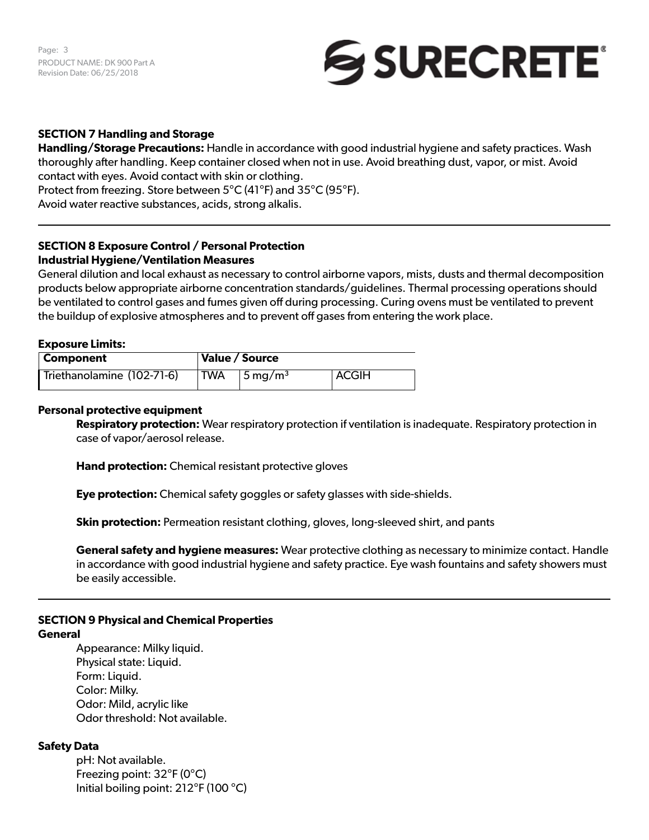Page: 3 PRODUCT NAME: DK 900 Part A Revision Date: 06/25/2018



#### **SECTION 7 Handling and Storage**

**Handling/Storage Precautions:** Handle in accordance with good industrial hygiene and safety practices. Wash thoroughly after handling. Keep container closed when not in use. Avoid breathing dust, vapor, or mist. Avoid contact with eyes. Avoid contact with skin or clothing. Protect from freezing. Store between 5°C (41°F) and 35°C (95°F). Avoid water reactive substances, acids, strong alkalis.

#### **SECTION 8 Exposure Control / Personal Protection Industrial Hygiene/Ventilation Measures**

General dilution and local exhaust as necessary to control airborne vapors, mists, dusts and thermal decomposition products below appropriate airborne concentration standards/guidelines. Thermal processing operations should be ventilated to control gases and fumes given off during processing. Curing ovens must be ventilated to prevent the buildup of explosive atmospheres and to prevent off gases from entering the work place.

#### **Exposure Limits:**

| Component                  | Value / Source |                        |         |
|----------------------------|----------------|------------------------|---------|
| Triethanolamine (102-71-6) | ' TWA          | $15 \,\mathrm{mg/m^3}$ | ' ACGIH |

#### **Personal protective equipment**

**Respiratory protection:** Wear respiratory protection if ventilation is inadequate. Respiratory protection in case of vapor/aerosol release.

**Hand protection:** Chemical resistant protective gloves

**Eye protection:** Chemical safety goggles or safety glasses with side-shields.

**Skin protection:** Permeation resistant clothing, gloves, long-sleeved shirt, and pants

**General safety and hygiene measures:** Wear protective clothing as necessary to minimize contact. Handle in accordance with good industrial hygiene and safety practice. Eye wash fountains and safety showers must be easily accessible.

# **SECTION 9 Physical and Chemical Properties**

#### **General**

Appearance: Milky liquid. Physical state: Liquid. Form: Liquid. Color: Milky. Odor: Mild, acrylic like Odor threshold: Not available.

#### **Safety Data**

pH: Not available. Freezing point: 32°F (0°C) Initial boiling point: 212°F (100 °C)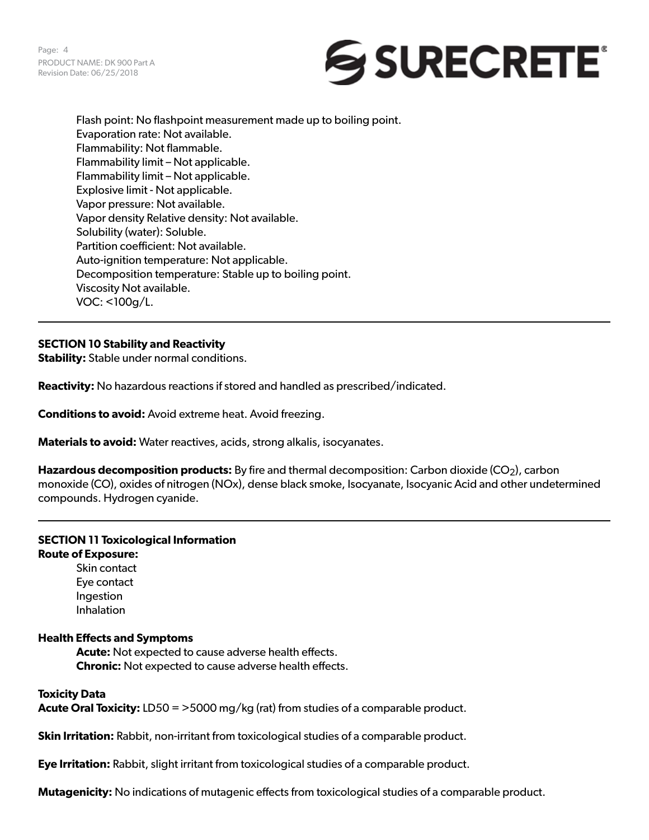

Flash point: No flashpoint measurement made up to boiling point. Evaporation rate: Not available. Flammability: Not flammable. Flammability limit – Not applicable. Flammability limit – Not applicable. Explosive limit - Not applicable. Vapor pressure: Not available. Vapor density Relative density: Not available. Solubility (water): Soluble. Partition coefficient: Not available. Auto-ignition temperature: Not applicable. Decomposition temperature: Stable up to boiling point. Viscosity Not available. VOC: <100g/L.

# **SECTION 10 Stability and Reactivity**

**Stability:** Stable under normal conditions.

**Reactivity:** No hazardous reactions if stored and handled as prescribed/indicated.

**Conditions to avoid:** Avoid extreme heat. Avoid freezing.

**Materials to avoid:** Water reactives, acids, strong alkalis, isocyanates.

**Hazardous decomposition products:** By fire and thermal decomposition: Carbon dioxide (CO<sub>2</sub>), carbon monoxide (CO), oxides of nitrogen (NOx), dense black smoke, Isocyanate, Isocyanic Acid and other undetermined compounds. Hydrogen cyanide.

#### **SECTION 11 Toxicological Information Route of Exposure:**

Skin contact Eye contact Ingestion Inhalation

#### **Health Effects and Symptoms**

**Acute:** Not expected to cause adverse health effects. **Chronic:** Not expected to cause adverse health effects.

# **Toxicity Data**

**Acute Oral Toxicity:** LD50 = >5000 mg/kg (rat) from studies of a comparable product.

**Skin Irritation:** Rabbit, non-irritant from toxicological studies of a comparable product.

**Eye Irritation:** Rabbit, slight irritant from toxicological studies of a comparable product.

**Mutagenicity:** No indications of mutagenic effects from toxicological studies of a comparable product.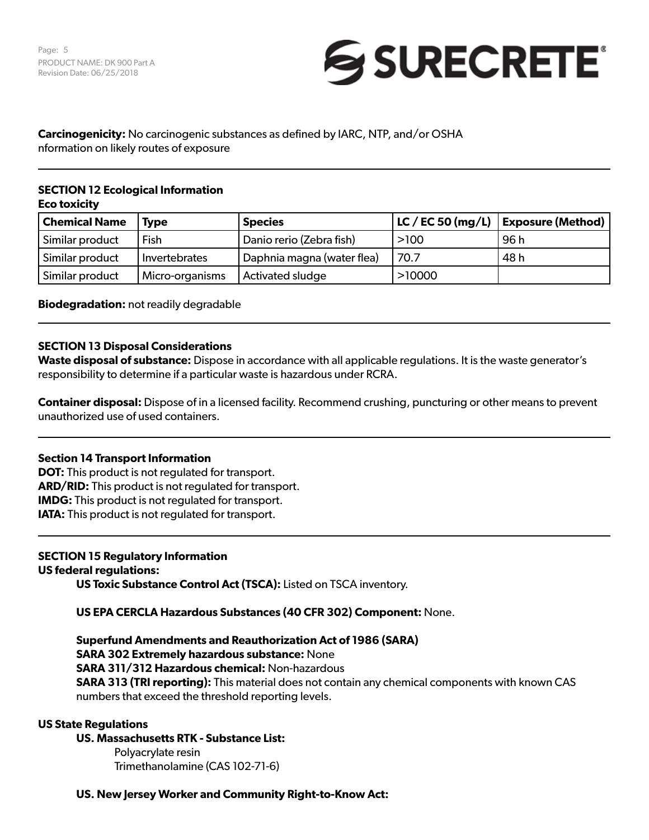Page: 5 PRODUCT NAME: DK 900 Part A Revision Date: 06/25/2018



# **Carcinogenicity:** No carcinogenic substances as defined by IARC, NTP, and/or OSHA nformation on likely routes of exposure

#### **SECTION 12 Ecological Information Eco toxicity**

| <b>Chemical Name</b> | l Tvpe          | <b>Species</b>             |        | $ $ LC / EC 50 (mg/L) $ $ Exposure (Method) |
|----------------------|-----------------|----------------------------|--------|---------------------------------------------|
| Similar product      | Fish            | Danio rerio (Zebra fish)   | >100   | 96 h                                        |
| Similar product      | Invertebrates   | Daphnia magna (water flea) | 70.7   | 48 h                                        |
| Similar product      | Micro-organisms | Activated sludge           | >10000 |                                             |

**Biodegradation:** not readily degradable

## **SECTION 13 Disposal Considerations**

**Waste disposal of substance:** Dispose in accordance with all applicable regulations. It is the waste generator's responsibility to determine if a particular waste is hazardous under RCRA.

**Container disposal:** Dispose of in a licensed facility. Recommend crushing, puncturing or other means to prevent unauthorized use of used containers.

#### **Section 14 Transport Information**

**DOT:** This product is not regulated for transport. **ARD/RID:** This product is not regulated for transport. **IMDG:** This product is not regulated for transport. **IATA:** This product is not regulated for transport.

# **SECTION 15 Regulatory Information**

## **US federal regulations:**

**US Toxic Substance Control Act (TSCA):** Listed on TSCA inventory.

**US EPA CERCLA Hazardous Substances (40 CFR 302) Component:** None.

**Superfund Amendments and Reauthorization Act of 1986 (SARA) SARA 302 Extremely hazardous substance:** None **SARA 311/312 Hazardous chemical:** Non-hazardous **SARA 313 (TRI reporting):** This material does not contain any chemical components with known CAS numbers that exceed the threshold reporting levels.

#### **US State Regulations**

#### **US. Massachusetts RTK - Substance List:**

Polyacrylate resin Trimethanolamine (CAS 102-71-6)

# **US. New Jersey Worker and Community Right-to-Know Act:**